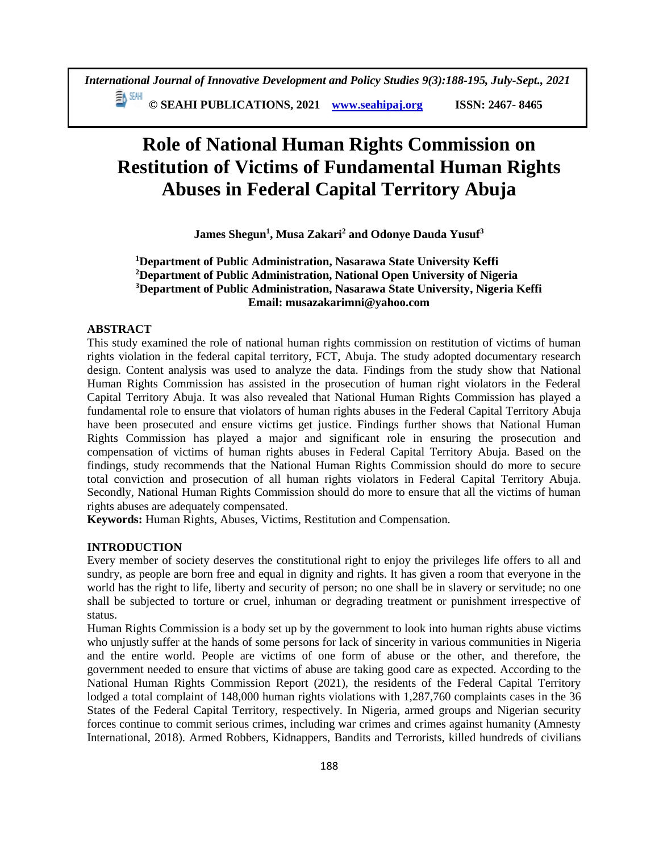≣∧ ध्यम **© SEAHI PUBLICATIONS, 2021 [www.seahipaj.org](http://www.seahipaj.org/) ISSN: 2467- 8465**

# **Role of National Human Rights Commission on Restitution of Victims of Fundamental Human Rights Abuses in Federal Capital Territory Abuja**

**James Shegun<sup>1</sup> , Musa Zakari<sup>2</sup> and Odonye Dauda Yusuf<sup>3</sup>**

# **<sup>1</sup>Department of Public Administration, Nasarawa State University Keffi <sup>2</sup>Department of Public Administration, National Open University of Nigeria <sup>3</sup>Department of Public Administration, Nasarawa State University, Nigeria Keffi Email: musazakarimni@yahoo.com**

# **ABSTRACT**

This study examined the role of national human rights commission on restitution of victims of human rights violation in the federal capital territory, FCT, Abuja. The study adopted documentary research design. Content analysis was used to analyze the data. Findings from the study show that National Human Rights Commission has assisted in the prosecution of human right violators in the Federal Capital Territory Abuja. It was also revealed that National Human Rights Commission has played a fundamental role to ensure that violators of human rights abuses in the Federal Capital Territory Abuja have been prosecuted and ensure victims get justice. Findings further shows that National Human Rights Commission has played a major and significant role in ensuring the prosecution and compensation of victims of human rights abuses in Federal Capital Territory Abuja. Based on the findings, study recommends that the National Human Rights Commission should do more to secure total conviction and prosecution of all human rights violators in Federal Capital Territory Abuja. Secondly, National Human Rights Commission should do more to ensure that all the victims of human rights abuses are adequately compensated.

**Keywords:** Human Rights, Abuses, Victims, Restitution and Compensation.

## **INTRODUCTION**

Every member of society deserves the constitutional right to enjoy the privileges life offers to all and sundry, as people are born free and equal in dignity and rights. It has given a room that everyone in the world has the right to life, liberty and security of person; no one shall be in slavery or servitude; no one shall be subjected to torture or cruel, inhuman or degrading treatment or punishment irrespective of status.

Human Rights Commission is a body set up by the government to look into human rights abuse victims who unjustly suffer at the hands of some persons for lack of sincerity in various communities in Nigeria and the entire world. People are victims of one form of abuse or the other, and therefore, the government needed to ensure that victims of abuse are taking good care as expected. According to the National Human Rights Commission Report (2021), the residents of the Federal Capital Territory lodged a total complaint of 148,000 human rights violations with 1,287,760 complaints cases in the 36 States of the Federal Capital Territory, respectively. In Nigeria, armed groups and Nigerian security forces continue to commit serious crimes, including war crimes and crimes against humanity (Amnesty International, 2018). Armed Robbers, Kidnappers, Bandits and Terrorists, killed hundreds of civilians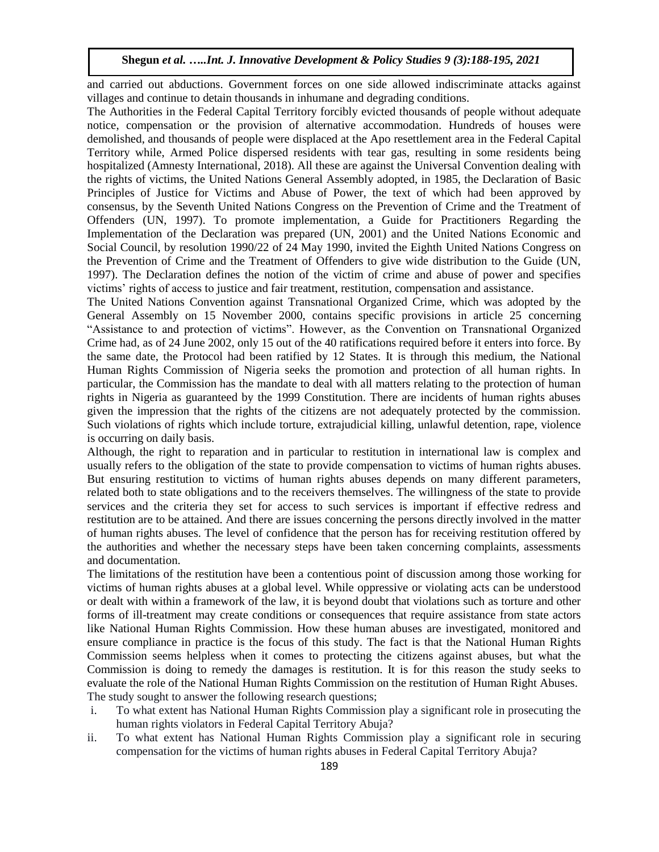and carried out abductions. Government forces on one side allowed indiscriminate attacks against villages and continue to detain thousands in inhumane and degrading conditions.

The Authorities in the Federal Capital Territory forcibly evicted thousands of people without adequate notice, compensation or the provision of alternative accommodation. Hundreds of houses were demolished, and thousands of people were displaced at the Apo resettlement area in the Federal Capital Territory while, Armed Police dispersed residents with tear gas, resulting in some residents being hospitalized (Amnesty International, 2018). All these are against the Universal Convention dealing with the rights of victims, the United Nations General Assembly adopted, in 1985, the Declaration of Basic Principles of Justice for Victims and Abuse of Power, the text of which had been approved by consensus, by the Seventh United Nations Congress on the Prevention of Crime and the Treatment of Offenders (UN, 1997). To promote implementation, a Guide for Practitioners Regarding the Implementation of the Declaration was prepared (UN, 2001) and the United Nations Economic and Social Council, by resolution 1990/22 of 24 May 1990, invited the Eighth United Nations Congress on the Prevention of Crime and the Treatment of Offenders to give wide distribution to the Guide (UN, 1997). The Declaration defines the notion of the victim of crime and abuse of power and specifies victims' rights of access to justice and fair treatment, restitution, compensation and assistance.

The United Nations Convention against Transnational Organized Crime, which was adopted by the General Assembly on 15 November 2000, contains specific provisions in article 25 concerning "Assistance to and protection of victims". However, as the Convention on Transnational Organized Crime had, as of 24 June 2002, only 15 out of the 40 ratifications required before it enters into force. By the same date, the Protocol had been ratified by 12 States. It is through this medium, the National Human Rights Commission of Nigeria seeks the promotion and protection of all human rights. In particular, the Commission has the mandate to deal with all matters relating to the protection of human rights in Nigeria as guaranteed by the 1999 Constitution. There are incidents of human rights abuses given the impression that the rights of the citizens are not adequately protected by the commission. Such violations of rights which include torture, extrajudicial killing, unlawful detention, rape, violence is occurring on daily basis.

Although, the right to reparation and in particular to restitution in international law is complex and usually refers to the obligation of the state to provide compensation to victims of human rights abuses. But ensuring restitution to victims of human rights abuses depends on many different parameters, related both to state obligations and to the receivers themselves. The willingness of the state to provide services and the criteria they set for access to such services is important if effective redress and restitution are to be attained. And there are issues concerning the persons directly involved in the matter of human rights abuses. The level of confidence that the person has for receiving restitution offered by the authorities and whether the necessary steps have been taken concerning complaints, assessments and documentation.

The limitations of the restitution have been a contentious point of discussion among those working for victims of human rights abuses at a global level. While oppressive or violating acts can be understood or dealt with within a framework of the law, it is beyond doubt that violations such as torture and other forms of ill-treatment may create conditions or consequences that require assistance from state actors like National Human Rights Commission. How these human abuses are investigated, monitored and ensure compliance in practice is the focus of this study. The fact is that the National Human Rights Commission seems helpless when it comes to protecting the citizens against abuses, but what the Commission is doing to remedy the damages is restitution. It is for this reason the study seeks to evaluate the role of the National Human Rights Commission on the restitution of Human Right Abuses. The study sought to answer the following research questions;

- i. To what extent has National Human Rights Commission play a significant role in prosecuting the human rights violators in Federal Capital Territory Abuja?
- ii. To what extent has National Human Rights Commission play a significant role in securing compensation for the victims of human rights abuses in Federal Capital Territory Abuja?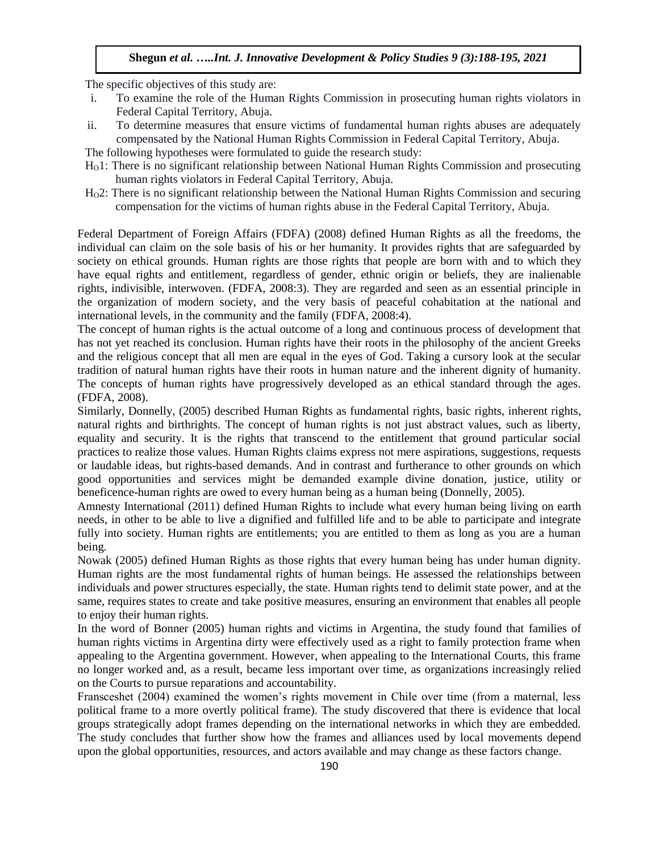The specific objectives of this study are:

- i. To examine the role of the Human Rights Commission in prosecuting human rights violators in Federal Capital Territory, Abuja.
- ii. To determine measures that ensure victims of fundamental human rights abuses are adequately compensated by the National Human Rights Commission in Federal Capital Territory, Abuja.
- The following hypotheses were formulated to guide the research study:
- HO1: There is no significant relationship between National Human Rights Commission and prosecuting human rights violators in Federal Capital Territory, Abuja.
- HO2: There is no significant relationship between the National Human Rights Commission and securing compensation for the victims of human rights abuse in the Federal Capital Territory, Abuja.

Federal Department of Foreign Affairs (FDFA) (2008) defined Human Rights as all the freedoms, the individual can claim on the sole basis of his or her humanity. It provides rights that are safeguarded by society on ethical grounds. Human rights are those rights that people are born with and to which they have equal rights and entitlement, regardless of gender, ethnic origin or beliefs, they are inalienable rights, indivisible, interwoven. (FDFA, 2008:3). They are regarded and seen as an essential principle in the organization of modern society, and the very basis of peaceful cohabitation at the national and international levels, in the community and the family (FDFA, 2008:4).

The concept of human rights is the actual outcome of a long and continuous process of development that has not yet reached its conclusion. Human rights have their roots in the philosophy of the ancient Greeks and the religious concept that all men are equal in the eyes of God. Taking a cursory look at the secular tradition of natural human rights have their roots in human nature and the inherent dignity of humanity. The concepts of human rights have progressively developed as an ethical standard through the ages. (FDFA, 2008).

Similarly, Donnelly, (2005) described Human Rights as fundamental rights, basic rights, inherent rights, natural rights and birthrights. The concept of human rights is not just abstract values, such as liberty, equality and security. It is the rights that transcend to the entitlement that ground particular social practices to realize those values. Human Rights claims express not mere aspirations, suggestions, requests or laudable ideas, but rights-based demands. And in contrast and furtherance to other grounds on which good opportunities and services might be demanded example divine donation, justice, utility or beneficence-human rights are owed to every human being as a human being (Donnelly, 2005).

Amnesty International (2011) defined Human Rights to include what every human being living on earth needs, in other to be able to live a dignified and fulfilled life and to be able to participate and integrate fully into society. Human rights are entitlements; you are entitled to them as long as you are a human being.

Nowak (2005) defined Human Rights as those rights that every human being has under human dignity. Human rights are the most fundamental rights of human beings. He assessed the relationships between individuals and power structures especially, the state. Human rights tend to delimit state power, and at the same, requires states to create and take positive measures, ensuring an environment that enables all people to enjoy their human rights.

In the word of Bonner (2005) human rights and victims in Argentina, the study found that families of human rights victims in Argentina dirty were effectively used as a right to family protection frame when appealing to the Argentina government. However, when appealing to the International Courts, this frame no longer worked and, as a result, became less important over time, as organizations increasingly relied on the Courts to pursue reparations and accountability.

Fransceshet (2004) examined the women's rights movement in Chile over time (from a maternal, less political frame to a more overtly political frame). The study discovered that there is evidence that local groups strategically adopt frames depending on the international networks in which they are embedded. The study concludes that further show how the frames and alliances used by local movements depend upon the global opportunities, resources, and actors available and may change as these factors change.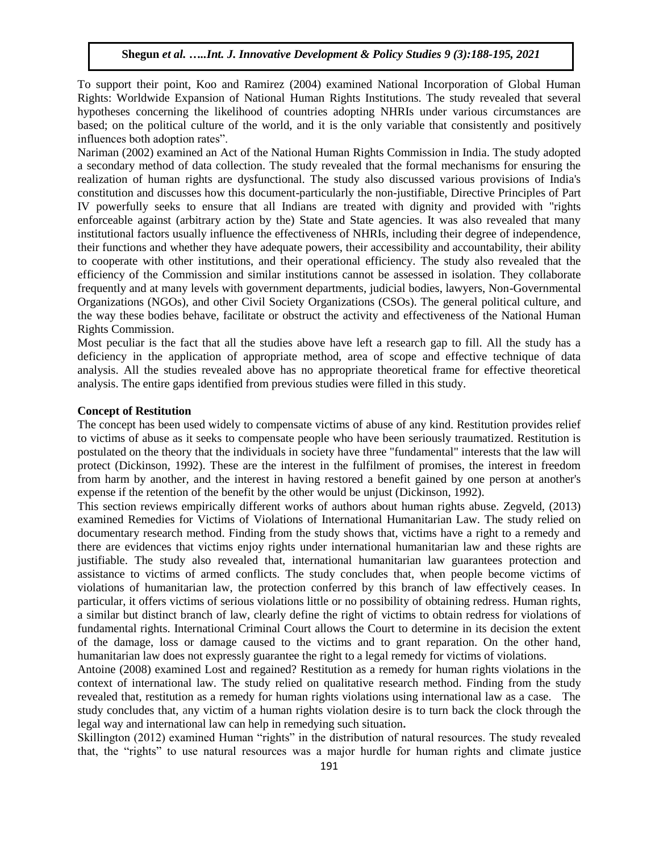To support their point, Koo and Ramirez (2004) examined National Incorporation of Global Human Rights: Worldwide Expansion of National Human Rights Institutions. The study revealed that several hypotheses concerning the likelihood of countries adopting NHRIs under various circumstances are based; on the political culture of the world, and it is the only variable that consistently and positively influences both adoption rates".

Nariman (2002) examined an Act of the National Human Rights Commission in India. The study adopted a secondary method of data collection. The study revealed that the formal mechanisms for ensuring the realization of human rights are dysfunctional. The study also discussed various provisions of India's constitution and discusses how this document-particularly the non-justifiable, Directive Principles of Part IV powerfully seeks to ensure that all Indians are treated with dignity and provided with "rights enforceable against (arbitrary action by the) State and State agencies. It was also revealed that many institutional factors usually influence the effectiveness of NHRIs, including their degree of independence, their functions and whether they have adequate powers, their accessibility and accountability, their ability to cooperate with other institutions, and their operational efficiency. The study also revealed that the efficiency of the Commission and similar institutions cannot be assessed in isolation. They collaborate frequently and at many levels with government departments, judicial bodies, lawyers, Non-Governmental Organizations (NGOs), and other Civil Society Organizations (CSOs). The general political culture, and the way these bodies behave, facilitate or obstruct the activity and effectiveness of the National Human Rights Commission.

Most peculiar is the fact that all the studies above have left a research gap to fill. All the study has a deficiency in the application of appropriate method, area of scope and effective technique of data analysis. All the studies revealed above has no appropriate theoretical frame for effective theoretical analysis. The entire gaps identified from previous studies were filled in this study.

#### **Concept of Restitution**

The concept has been used widely to compensate victims of abuse of any kind. Restitution provides relief to victims of abuse as it seeks to compensate people who have been seriously traumatized. Restitution is postulated on the theory that the individuals in society have three "fundamental" interests that the law will protect (Dickinson, 1992). These are the interest in the fulfilment of promises, the interest in freedom from harm by another, and the interest in having restored a benefit gained by one person at another's expense if the retention of the benefit by the other would be unjust (Dickinson, 1992).

This section reviews empirically different works of authors about human rights abuse. Zegveld, (2013) examined Remedies for Victims of Violations of International Humanitarian Law. The study relied on documentary research method. Finding from the study shows that, victims have a right to a remedy and there are evidences that victims enjoy rights under international humanitarian law and these rights are justifiable. The study also revealed that, international humanitarian law guarantees protection and assistance to victims of armed conflicts. The study concludes that, when people become victims of violations of humanitarian law, the protection conferred by this branch of law effectively ceases. In particular, it offers victims of serious violations little or no possibility of obtaining redress. Human rights, a similar but distinct branch of law, clearly define the right of victims to obtain redress for violations of fundamental rights. International Criminal Court allows the Court to determine in its decision the extent of the damage, loss or damage caused to the victims and to grant reparation. On the other hand, humanitarian law does not expressly guarantee the right to a legal remedy for victims of violations.

Antoine (2008) examined Lost and regained? Restitution as a remedy for human rights violations in the context of international law. The study relied on qualitative research method. Finding from the study revealed that, restitution as a remedy for human rights violations using international law as a case. The study concludes that, any victim of a human rights violation desire is to turn back the clock through the legal way and international law can help in remedying such situation**.** 

Skillington (2012) examined Human "rights" in the distribution of natural resources. The study revealed that, the "rights" to use natural resources was a major hurdle for human rights and climate justice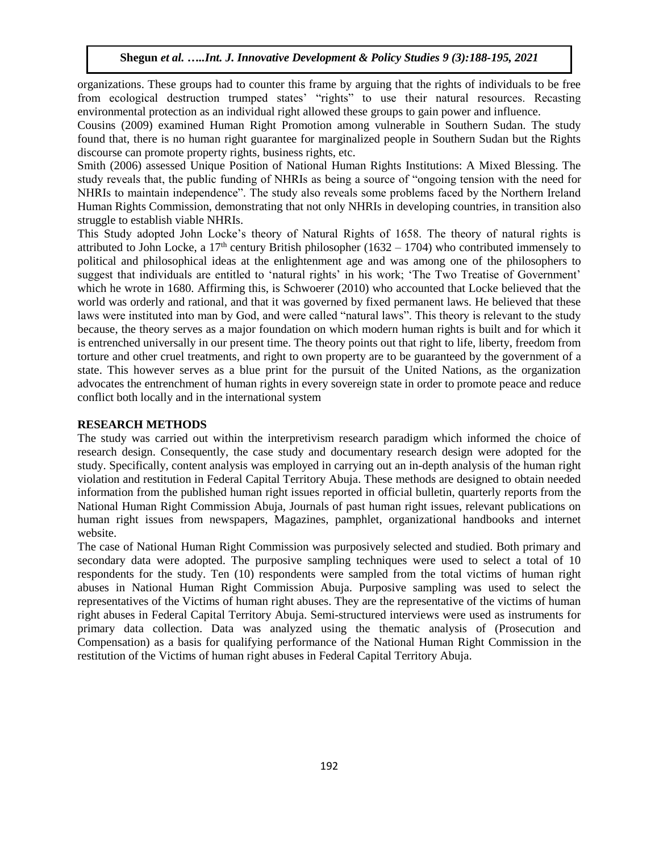organizations. These groups had to counter this frame by arguing that the rights of individuals to be free from ecological destruction trumped states' "rights" to use their natural resources. Recasting environmental protection as an individual right allowed these groups to gain power and influence.

Cousins (2009) examined Human Right Promotion among vulnerable in Southern Sudan. The study found that, there is no human right guarantee for marginalized people in Southern Sudan but the Rights discourse can promote property rights, business rights, etc.

Smith (2006) assessed Unique Position of National Human Rights Institutions: A Mixed Blessing. The study reveals that, the public funding of NHRIs as being a source of "ongoing tension with the need for NHRIs to maintain independence". The study also reveals some problems faced by the Northern Ireland Human Rights Commission, demonstrating that not only NHRIs in developing countries, in transition also struggle to establish viable NHRIs.

This Study adopted John Locke's theory of Natural Rights of 1658. The theory of natural rights is attributed to John Locke, a  $17<sup>th</sup>$  century British philosopher (1632 – 1704) who contributed immensely to political and philosophical ideas at the enlightenment age and was among one of the philosophers to suggest that individuals are entitled to 'natural rights' in his work; 'The Two Treatise of Government' which he wrote in 1680. Affirming this, is Schwoerer (2010) who accounted that Locke believed that the world was orderly and rational, and that it was governed by fixed permanent laws. He believed that these laws were instituted into man by God, and were called "natural laws". This theory is relevant to the study because, the theory serves as a major foundation on which modern human rights is built and for which it is entrenched universally in our present time. The theory points out that right to life, liberty, freedom from torture and other cruel treatments, and right to own property are to be guaranteed by the government of a state. This however serves as a blue print for the pursuit of the United Nations, as the organization advocates the entrenchment of human rights in every sovereign state in order to promote peace and reduce conflict both locally and in the international system

#### **RESEARCH METHODS**

The study was carried out within the interpretivism research paradigm which informed the choice of research design. Consequently, the case study and documentary research design were adopted for the study. Specifically, content analysis was employed in carrying out an in-depth analysis of the human right violation and restitution in Federal Capital Territory Abuja. These methods are designed to obtain needed information from the published human right issues reported in official bulletin, quarterly reports from the National Human Right Commission Abuja, Journals of past human right issues, relevant publications on human right issues from newspapers, Magazines, pamphlet, organizational handbooks and internet website.

The case of National Human Right Commission was purposively selected and studied. Both primary and secondary data were adopted. The purposive sampling techniques were used to select a total of 10 respondents for the study. Ten (10) respondents were sampled from the total victims of human right abuses in National Human Right Commission Abuja. Purposive sampling was used to select the representatives of the Victims of human right abuses. They are the representative of the victims of human right abuses in Federal Capital Territory Abuja. Semi-structured interviews were used as instruments for primary data collection. Data was analyzed using the thematic analysis of (Prosecution and Compensation) as a basis for qualifying performance of the National Human Right Commission in the restitution of the Victims of human right abuses in Federal Capital Territory Abuja.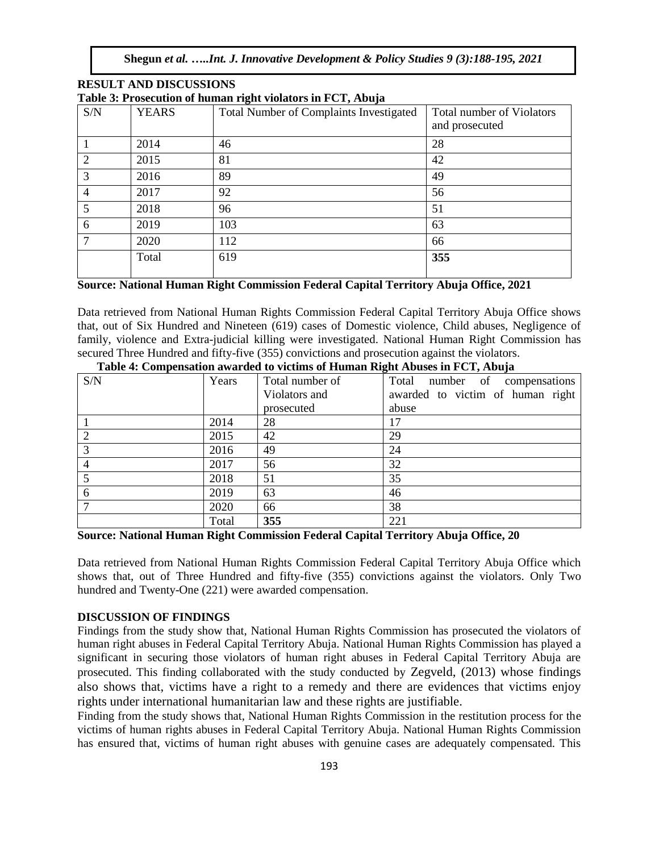| S/N            | <b>YEARS</b> | <b>Total Number of Complaints Investigated</b> | Total number of Violators |
|----------------|--------------|------------------------------------------------|---------------------------|
|                |              |                                                | and prosecuted            |
|                | 2014         | 46                                             | 28                        |
| $\overline{2}$ | 2015         | 81                                             | 42                        |
| 3              | 2016         | 89                                             | 49                        |
| $\overline{4}$ | 2017         | 92                                             | 56                        |
| 5              | 2018         | 96                                             | 51                        |
| 6              | 2019         | 103                                            | 63                        |
| 7              | 2020         | 112                                            | 66                        |
|                | Total        | 619                                            | 355                       |
|                |              |                                                |                           |

#### **RESULT AND DISCUSSIONS Table 3: Prosecution of human right violators in FCT, Abuja**

# **Source: National Human Right Commission Federal Capital Territory Abuja Office, 2021**

Data retrieved from National Human Rights Commission Federal Capital Territory Abuja Office shows that, out of Six Hundred and Nineteen (619) cases of Domestic violence, Child abuses, Negligence of family, violence and Extra-judicial killing were investigated. National Human Right Commission has secured Three Hundred and fifty-five (355) convictions and prosecution against the violators.

| S/N | Years | Total number of | o<br>Total number of compensations |
|-----|-------|-----------------|------------------------------------|
|     |       | Violators and   | awarded to victim of human right   |
|     |       | prosecuted      | abuse                              |
|     | 2014  | 28              | 17                                 |
|     | 2015  | 42              | 29                                 |
| 3   | 2016  | 49              | 24                                 |
|     | 2017  | 56              | 32                                 |
|     | 2018  | 51              | 35                                 |
| 6   | 2019  | 63              | 46                                 |
|     | 2020  | 66              | 38                                 |
|     | Total | 355             | 221                                |

**Table 4: Compensation awarded to victims of Human Right Abuses in FCT, Abuja** 

**Source: National Human Right Commission Federal Capital Territory Abuja Office, 20**

Data retrieved from National Human Rights Commission Federal Capital Territory Abuja Office which shows that, out of Three Hundred and fifty-five (355) convictions against the violators. Only Two hundred and Twenty-One (221) were awarded compensation.

# **DISCUSSION OF FINDINGS**

Findings from the study show that, National Human Rights Commission has prosecuted the violators of human right abuses in Federal Capital Territory Abuja. National Human Rights Commission has played a significant in securing those violators of human right abuses in Federal Capital Territory Abuja are prosecuted. This finding collaborated with the study conducted by Zegveld, (2013) whose findings also shows that, victims have a right to a remedy and there are evidences that victims enjoy rights under international humanitarian law and these rights are justifiable.

Finding from the study shows that, National Human Rights Commission in the restitution process for the victims of human rights abuses in Federal Capital Territory Abuja. National Human Rights Commission has ensured that, victims of human right abuses with genuine cases are adequately compensated. This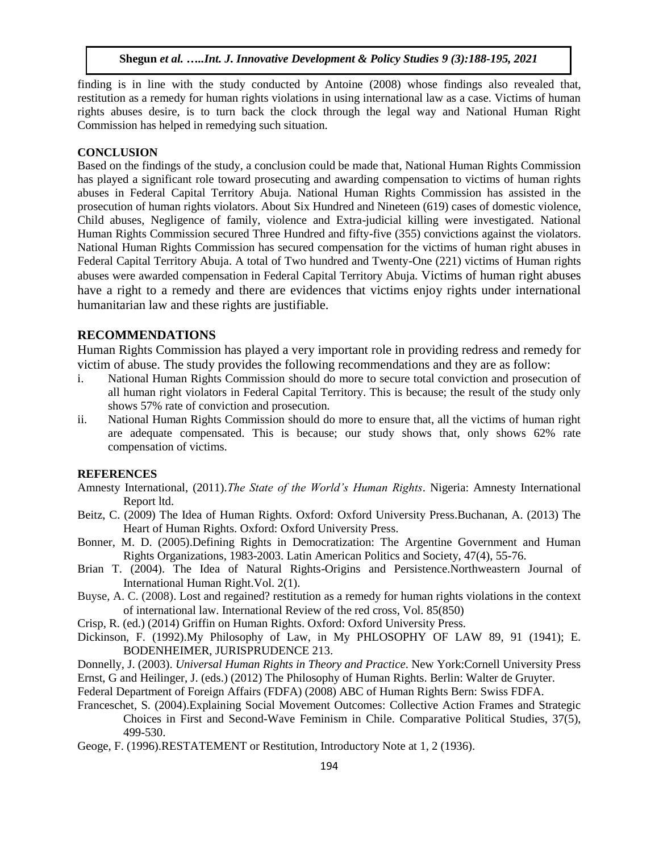finding is in line with the study conducted by Antoine (2008) whose findings also revealed that, restitution as a remedy for human rights violations in using international law as a case. Victims of human rights abuses desire, is to turn back the clock through the legal way and National Human Right Commission has helped in remedying such situation.

# **CONCLUSION**

Based on the findings of the study, a conclusion could be made that, National Human Rights Commission has played a significant role toward prosecuting and awarding compensation to victims of human rights abuses in Federal Capital Territory Abuja. National Human Rights Commission has assisted in the prosecution of human rights violators. About Six Hundred and Nineteen (619) cases of domestic violence, Child abuses, Negligence of family, violence and Extra-judicial killing were investigated. National Human Rights Commission secured Three Hundred and fifty-five (355) convictions against the violators. National Human Rights Commission has secured compensation for the victims of human right abuses in Federal Capital Territory Abuja. A total of Two hundred and Twenty-One (221) victims of Human rights abuses were awarded compensation in Federal Capital Territory Abuja. Victims of human right abuses have a right to a remedy and there are evidences that victims enjoy rights under international humanitarian law and these rights are justifiable.

#### **RECOMMENDATIONS**

Human Rights Commission has played a very important role in providing redress and remedy for victim of abuse. The study provides the following recommendations and they are as follow:

- i. National Human Rights Commission should do more to secure total conviction and prosecution of all human right violators in Federal Capital Territory. This is because; the result of the study only shows 57% rate of conviction and prosecution.
- ii. National Human Rights Commission should do more to ensure that, all the victims of human right are adequate compensated. This is because; our study shows that, only shows 62% rate compensation of victims.

#### **REFERENCES**

- Amnesty International, (2011).*The State of the World's Human Rights*. Nigeria: Amnesty International Report ltd.
- Beitz, C. (2009) The Idea of Human Rights. Oxford: Oxford University Press.Buchanan, A. (2013) The Heart of Human Rights. Oxford: Oxford University Press.
- Bonner, M. D. (2005).Defining Rights in Democratization: The Argentine Government and Human Rights Organizations, 1983-2003. Latin American Politics and Society, 47(4), 55-76.
- Brian T. (2004). The Idea of Natural Rights-Origins and Persistence.Northweastern Journal of International Human Right.Vol. 2(1).
- Buyse, A. C. (2008). Lost and regained? restitution as a remedy for human rights violations in the context of international law. International Review of the red cross, Vol. 85(850)
- Crisp, R. (ed.) (2014) Griffin on Human Rights. Oxford: Oxford University Press.
- Dickinson, F. (1992).My Philosophy of Law, in My PHLOSOPHY OF LAW 89, 91 (1941); E. BODENHEIMER, JURISPRUDENCE 213.
- Donnelly, J. (2003). *Universal Human Rights in Theory and Practice*. New York:Cornell University Press Ernst, G and Heilinger, J. (eds.) (2012) The Philosophy of Human Rights. Berlin: Walter de Gruyter.
- Federal Department of Foreign Affairs (FDFA) (2008) ABC of Human Rights Bern: Swiss FDFA.
- Franceschet, S. (2004).Explaining Social Movement Outcomes: Collective Action Frames and Strategic Choices in First and Second-Wave Feminism in Chile. Comparative Political Studies, 37(5), 499-530.
- Geoge, F. (1996).RESTATEMENT or Restitution, Introductory Note at 1, 2 (1936).